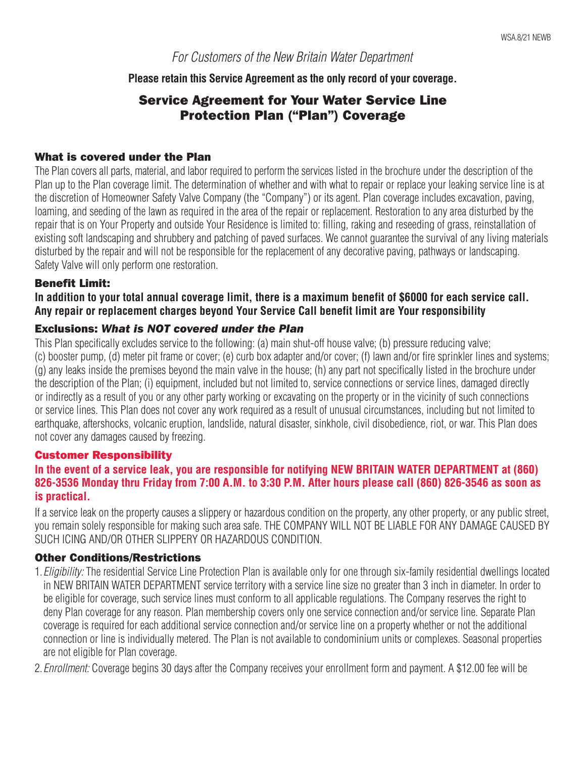# For Customers of the New Britain Water Department

### **Please retain this Service Agreement as the only record of your coverage.**

# Service Agreement for Your Water Service Line Protection Plan ("Plan") Coverage

### What is covered under the Plan

The Plan covers all parts, material, and labor required to perform the services listed in the brochure under the description of the Plan up to the Plan coverage limit. The determination of whether and with what to repair or replace your leaking service line is at the discretion of Homeowner Safety Valve Company (the "Company") or its agent. Plan coverage includes excavation, paving, loaming, and seeding of the lawn as required in the area of the repair or replacement. Restoration to any area disturbed by the repair that is on Your Property and outside Your Residence is limited to: filling, raking and reseeding of grass, reinstallation of existing soft landscaping and shrubbery and patching of paved surfaces. We cannot guarantee the survival of any living materials disturbed by the repair and will not be responsible for the replacement of any decorative paving, pathways or landscaping. Safety Valve will only perform one restoration.

## Benefit Limit:

**In addition to your total annual coverage limit, there is a maximum benefit of \$6000 for each service call. Any repair or replacement charges beyond Your Service Call benefit limit are Your responsibility**

## Exclusions: *What is NOT covered under the Plan*

This Plan specifically excludes service to the following: (a) main shut-off house valve; (b) pressure reducing valve; (c) booster pump, (d) meter pit frame or cover; (e) curb box adapter and/or cover; (f) lawn and/or fire sprinkler lines and systems; (g) any leaks inside the premises beyond the main valve in the house; (h) any part not specifically listed in the brochure under the description of the Plan; (i) equipment, included but not limited to, service connections or service lines, damaged directly or indirectly as a result of you or any other party working or excavating on the property or in the vicinity of such connections or service lines. This Plan does not cover any work required as a result of unusual circumstances, including but not limited to earthquake, aftershocks, volcanic eruption, landslide, natural disaster, sinkhole, civil disobedience, riot, or war. This Plan does not cover any damages caused by freezing.

#### Customer Responsibility

## **In the event of a service leak, you are responsible for notifying NEW BRITAIN WATER DEPARTMENT at (860) 826-3536 Monday thru Friday from 7:00 A.M. to 3:30 P.M. After hours please call (860) 826-3546 as soon as is practical.**

If a service leak on the property causes a slippery or hazardous condition on the property, any other property, or any public street, you remain solely responsible for making such area safe. THE COMPANY WILL NOT BE LIABLE FOR ANY DAMAGE CAUSED BY SUCH ICING AND/OR OTHER SLIPPERY OR HAZARDOUS CONDITION.

#### Other Conditions/Restrictions

1.Eligibility: The residential Service Line Protection Plan is available only for one through six-family residential dwellings located in NEW BRITAIN WATER DEPARTMENT service territory with a service line size no greater than 3 inch in diameter. In order to be eligible for coverage, such service lines must conform to all applicable regulations. The Company reserves the right to deny Plan coverage for any reason. Plan membership covers only one service connection and/or service line. Separate Plan coverage is required for each additional service connection and/or service line on a property whether or not the additional connection or line is individually metered. The Plan is not available to condominium units or complexes. Seasonal properties are not eligible for Plan coverage.

2. *Enrollment:* Coverage begins 30 days after the Company receives your enrollment form and payment. A \$12.00 fee will be